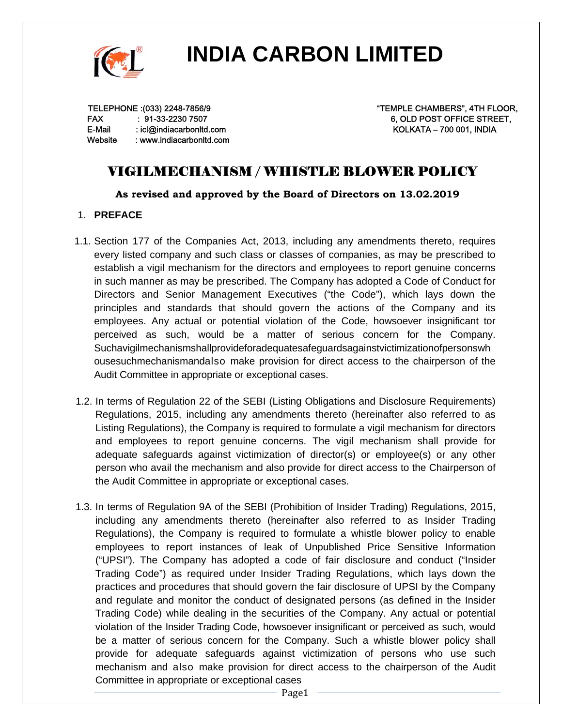

TELEPHONE :(033) 2248-7856/9 FAX : 91-33-2230 7507 E-Mail : icl@indiacarbonltd.com Website : www.indiacarbonltd.com "TEMPLE CHAMBERS", 4TH FLOOR, 6, OLD POST OFFICE STREET, KOLKATA – 700 001, INDIA

### VIGILMECHANISM / WHISTLE BLOWER POLICY

**As revised and approved by the Board of Directors on 13.02.2019** 

### 1. **PREFACE**

- 1.1. Section 177 of the Companies Act, 2013, including any amendments thereto, requires every listed company and such class or classes of companies, as may be prescribed to establish a vigil mechanism for the directors and employees to report genuine concerns in such manner as may be prescribed. The Company has adopted a Code of Conduct for Directors and Senior Management Executives ("the Code"), which lays down the principles and standards that should govern the actions of the Company and its employees. Any actual or potential violation of the Code, howsoever insignificant tor perceived as such, would be a matter of serious concern for the Company. Suchavigilmechanismshallprovideforadequatesafeguardsagainstvictimizationofpersonswh ousesuchmechanismandalso make provision for direct access to the chairperson of the Audit Committee in appropriate or exceptional cases.
- 1.2. In terms of Regulation 22 of the SEBI (Listing Obligations and Disclosure Requirements) Regulations, 2015, including any amendments thereto (hereinafter also referred to as Listing Regulations), the Company is required to formulate a vigil mechanism for directors and employees to report genuine concerns. The vigil mechanism shall provide for adequate safeguards against victimization of director(s) or employee(s) or any other person who avail the mechanism and also provide for direct access to the Chairperson of the Audit Committee in appropriate or exceptional cases.
- 1.3. In terms of Regulation 9A of the SEBI (Prohibition of Insider Trading) Regulations, 2015, including any amendments thereto (hereinafter also referred to as Insider Trading Regulations), the Company is required to formulate a whistle blower policy to enable employees to report instances of leak of Unpublished Price Sensitive Information ("UPSI"). The Company has adopted a code of fair disclosure and conduct ("Insider Trading Code") as required under Insider Trading Regulations, which lays down the practices and procedures that should govern the fair disclosure of UPSI by the Company and regulate and monitor the conduct of designated persons (as defined in the Insider Trading Code) while dealing in the securities of the Company. Any actual or potential violation of the Insider Trading Code, howsoever insignificant or perceived as such, would be a matter of serious concern for the Company. Such a whistle blower policy shall provide for adequate safeguards against victimization of persons who use such mechanism and also make provision for direct access to the chairperson of the Audit Committee in appropriate or exceptional cases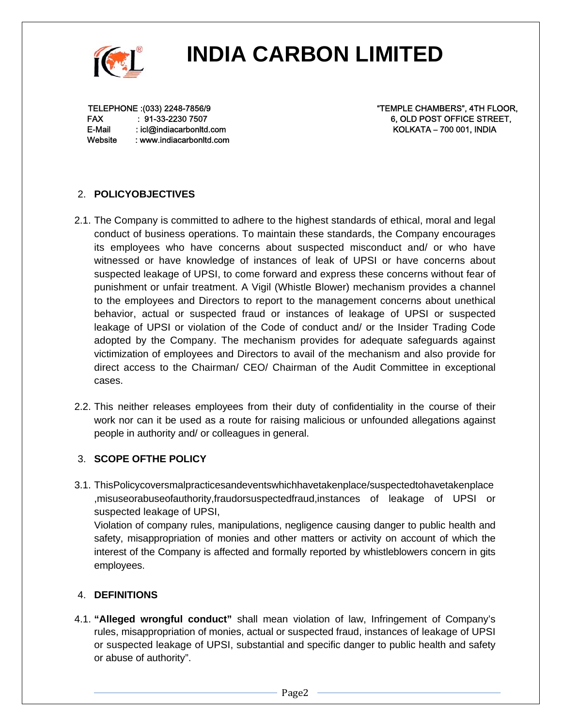

TELEPHONE :(033) 2248-7856/9 FAX : 91-33-2230 7507 E-Mail : icl@indiacarbonltd.com Website : www.indiacarbonltd.com "TEMPLE CHAMBERS", 4TH FLOOR, 6, OLD POST OFFICE STREET, KOLKATA – 700 001, INDIA

### 2. **POLICYOBJECTIVES**

- 2.1. The Company is committed to adhere to the highest standards of ethical, moral and legal conduct of business operations. To maintain these standards, the Company encourages its employees who have concerns about suspected misconduct and/ or who have witnessed or have knowledge of instances of leak of UPSI or have concerns about suspected leakage of UPSI, to come forward and express these concerns without fear of punishment or unfair treatment. A Vigil (Whistle Blower) mechanism provides a channel to the employees and Directors to report to the management concerns about unethical behavior, actual or suspected fraud or instances of leakage of UPSI or suspected leakage of UPSI or violation of the Code of conduct and/ or the Insider Trading Code adopted by the Company. The mechanism provides for adequate safeguards against victimization of employees and Directors to avail of the mechanism and also provide for direct access to the Chairman/ CEO/ Chairman of the Audit Committee in exceptional cases.
- 2.2. This neither releases employees from their duty of confidentiality in the course of their work nor can it be used as a route for raising malicious or unfounded allegations against people in authority and/ or colleagues in general.

### 3. **SCOPE OFTHE POLICY**

3.1. ThisPolicycoversmalpracticesandeventswhichhavetakenplace/suspectedtohavetakenplace ,misuseorabuseofauthority,fraudorsuspectedfraud,instances of leakage of UPSI or suspected leakage of UPSI, Violation of company rules, manipulations, negligence causing danger to public health and safety, misappropriation of monies and other matters or activity on account of which the interest of the Company is affected and formally reported by whistleblowers concern in gits employees.

### 4. **DEFINITIONS**

4.1. **"Alleged wrongful conduct"** shall mean violation of law, Infringement of Company's rules, misappropriation of monies, actual or suspected fraud, instances of leakage of UPSI or suspected leakage of UPSI, substantial and specific danger to public health and safety or abuse of authority".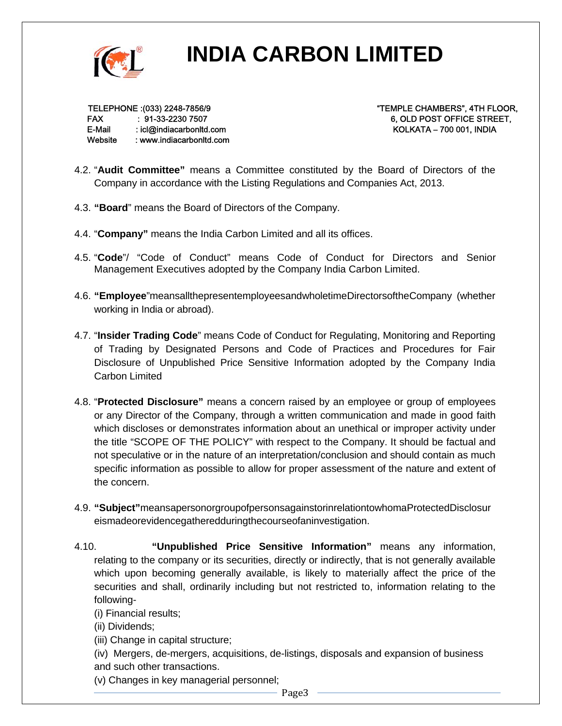

TELEPHONE :(033) 2248-7856/9 FAX : 91-33-2230 7507 E-Mail : icl@indiacarbonltd.com Website : www.indiacarbonltd.com "TEMPLE CHAMBERS", 4TH FLOOR, 6, OLD POST OFFICE STREET, KOLKATA – 700 001, INDIA

- 4.2. "**Audit Committee"** means a Committee constituted by the Board of Directors of the Company in accordance with the Listing Regulations and Companies Act, 2013.
- 4.3. **"Board**" means the Board of Directors of the Company.
- 4.4. "**Company"** means the India Carbon Limited and all its offices.
- 4.5. "**Code**"/ "Code of Conduct" means Code of Conduct for Directors and Senior Management Executives adopted by the Company India Carbon Limited.
- 4.6. **"Employee**"meansallthepresentemployeesandwholetimeDirectorsoftheCompany (whether working in India or abroad).
- 4.7. "**Insider Trading Code**" means Code of Conduct for Regulating, Monitoring and Reporting of Trading by Designated Persons and Code of Practices and Procedures for Fair Disclosure of Unpublished Price Sensitive Information adopted by the Company India Carbon Limited
- 4.8. "**Protected Disclosure"** means a concern raised by an employee or group of employees or any Director of the Company, through a written communication and made in good faith which discloses or demonstrates information about an unethical or improper activity under the title "SCOPE OF THE POLICY" with respect to the Company. It should be factual and not speculative or in the nature of an interpretation/conclusion and should contain as much specific information as possible to allow for proper assessment of the nature and extent of the concern.
- 4.9. **"Subject"**meansapersonorgroupofpersonsagainstorinrelationtowhomaProtectedDisclosur eismadeorevidencegatheredduringthecourseofaninvestigation.
- 4.10. **"Unpublished Price Sensitive Information"** means any information, relating to the company or its securities, directly or indirectly, that is not generally available which upon becoming generally available, is likely to materially affect the price of the securities and shall, ordinarily including but not restricted to, information relating to the following-
	- (i) Financial results;
	- (ii) Dividends;
	- (iii) Change in capital structure;
	- (iv) Mergers, de-mergers, acquisitions, de-listings, disposals and expansion of business and such other transactions.
	- (v) Changes in key managerial personnel;

Page3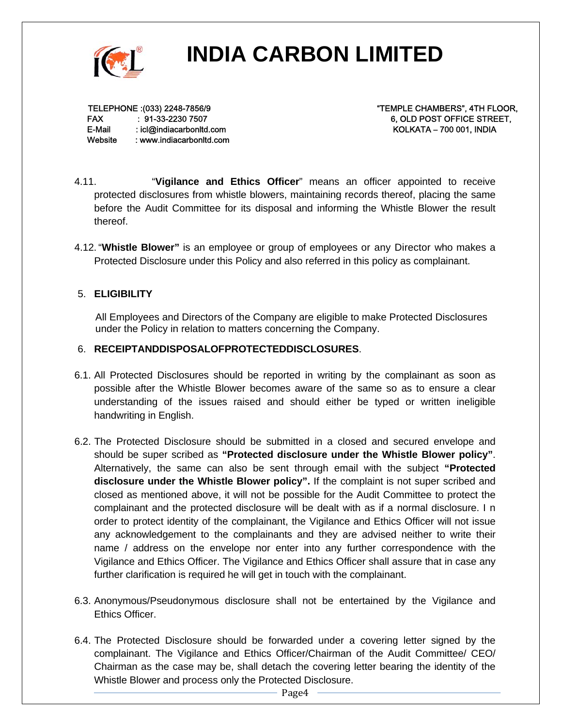

TELEPHONE :(033) 2248-7856/9 FAX : 91-33-2230 7507 E-Mail : icl@indiacarbonltd.com Website : www.indiacarbonltd.com "TEMPLE CHAMBERS", 4TH FLOOR, 6, OLD POST OFFICE STREET, KOLKATA – 700 001, INDIA

- 4.11. "**Vigilance and Ethics Officer**" means an officer appointed to receive protected disclosures from whistle blowers, maintaining records thereof, placing the same before the Audit Committee for its disposal and informing the Whistle Blower the result thereof.
- 4.12. "**Whistle Blower"** is an employee or group of employees or any Director who makes a Protected Disclosure under this Policy and also referred in this policy as complainant.

### 5. **ELIGIBILITY**

All Employees and Directors of the Company are eligible to make Protected Disclosures under the Policy in relation to matters concerning the Company.

### 6. **RECEIPTANDDISPOSALOFPROTECTEDDISCLOSURES**.

- 6.1. All Protected Disclosures should be reported in writing by the complainant as soon as possible after the Whistle Blower becomes aware of the same so as to ensure a clear understanding of the issues raised and should either be typed or written ineligible handwriting in English.
- 6.2. The Protected Disclosure should be submitted in a closed and secured envelope and should be super scribed as **"Protected disclosure under the Whistle Blower policy"**. Alternatively, the same can also be sent through email with the subject **"Protected disclosure under the Whistle Blower policy".** If the complaint is not super scribed and closed as mentioned above, it will not be possible for the Audit Committee to protect the complainant and the protected disclosure will be dealt with as if a normal disclosure. I n order to protect identity of the complainant, the Vigilance and Ethics Officer will not issue any acknowledgement to the complainants and they are advised neither to write their name / address on the envelope nor enter into any further correspondence with the Vigilance and Ethics Officer. The Vigilance and Ethics Officer shall assure that in case any further clarification is required he will get in touch with the complainant.
- 6.3. Anonymous/Pseudonymous disclosure shall not be entertained by the Vigilance and Ethics Officer.
- 6.4. The Protected Disclosure should be forwarded under a covering letter signed by the complainant. The Vigilance and Ethics Officer/Chairman of the Audit Committee/ CEO/ Chairman as the case may be, shall detach the covering letter bearing the identity of the Whistle Blower and process only the Protected Disclosure.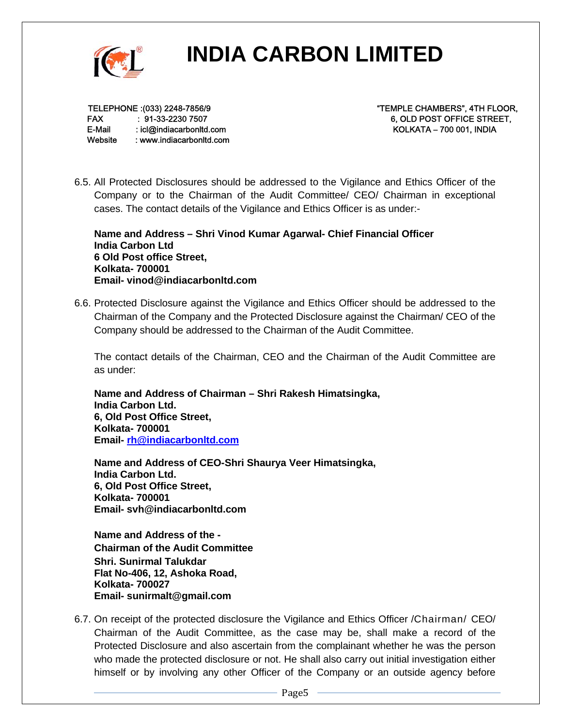

TELEPHONE :(033) 2248-7856/9 FAX : 91-33-2230 7507 E-Mail : icl@indiacarbonltd.com Website : www.indiacarbonltd.com "TEMPLE CHAMBERS", 4TH FLOOR, 6, OLD POST OFFICE STREET, KOLKATA – 700 001, INDIA

6.5. All Protected Disclosures should be addressed to the Vigilance and Ethics Officer of the Company or to the Chairman of the Audit Committee/ CEO/ Chairman in exceptional cases. The contact details of the Vigilance and Ethics Officer is as under:-

**Name and Address – Shri Vinod Kumar Agarwal- Chief Financial Officer India Carbon Ltd 6 Old Post office Street, Kolkata- 700001 Email- vinod@indiacarbonltd.com** 

6.6. Protected Disclosure against the Vigilance and Ethics Officer should be addressed to the Chairman of the Company and the Protected Disclosure against the Chairman/ CEO of the Company should be addressed to the Chairman of the Audit Committee.

The contact details of the Chairman, CEO and the Chairman of the Audit Committee are as under:

**Name and Address of Chairman – Shri Rakesh Himatsingka, India Carbon Ltd. 6, Old Post Office Street, Kolkata- 700001 Email- rh@indiacarbonltd.com**

**Name and Address of CEO-Shri Shaurya Veer Himatsingka, India Carbon Ltd. 6, Old Post Office Street, Kolkata- 700001 Email- svh@indiacarbonltd.com**

**Name and Address of the - Chairman of the Audit Committee Shri. Sunirmal Talukdar Flat No-406, 12, Ashoka Road, Kolkata- 700027 Email- sunirmalt@gmail.com** 

6.7. On receipt of the protected disclosure the Vigilance and Ethics Officer /Chairman/ CEO/ Chairman of the Audit Committee, as the case may be, shall make a record of the Protected Disclosure and also ascertain from the complainant whether he was the person who made the protected disclosure or not. He shall also carry out initial investigation either himself or by involving any other Officer of the Company or an outside agency before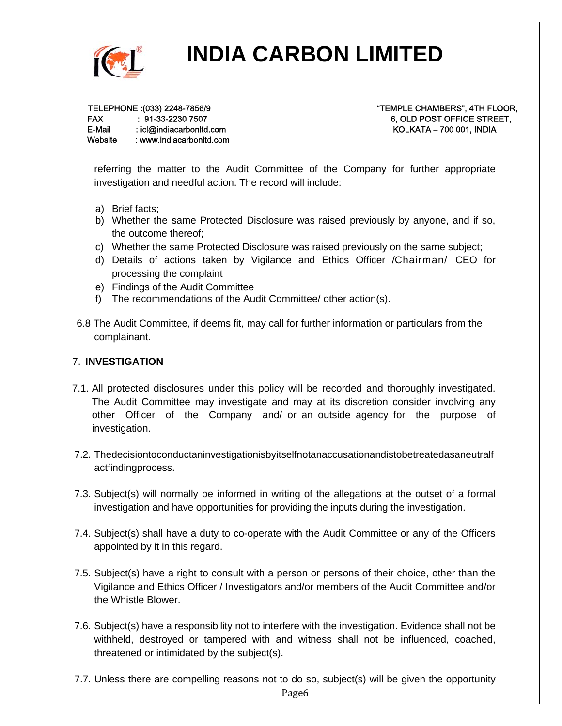

TELEPHONE :(033) 2248-7856/9 FAX : 91-33-2230 7507 E-Mail : icl@indiacarbonltd.com Website : www.indiacarbonltd.com "TEMPLE CHAMBERS", 4TH FLOOR, 6, OLD POST OFFICE STREET, KOLKATA – 700 001, INDIA

referring the matter to the Audit Committee of the Company for further appropriate investigation and needful action. The record will include:

- a) Brief facts;
- b) Whether the same Protected Disclosure was raised previously by anyone, and if so, the outcome thereof;
- c) Whether the same Protected Disclosure was raised previously on the same subject;
- d) Details of actions taken by Vigilance and Ethics Officer /Chairman/ CEO for processing the complaint
- e) Findings of the Audit Committee
- f) The recommendations of the Audit Committee/ other action(s).
- 6.8 The Audit Committee, if deems fit, may call for further information or particulars from the complainant.

#### 7. **INVESTIGATION**

- 7.1. All protected disclosures under this policy will be recorded and thoroughly investigated. The Audit Committee may investigate and may at its discretion consider involving any other Officer of the Company and/ or an outside agency for the purpose of investigation.
- 7.2. Thedecisiontoconductaninvestigationisbyitselfnotanaccusationandistobetreatedasaneutralf actfindingprocess.
- 7.3. Subject(s) will normally be informed in writing of the allegations at the outset of a formal investigation and have opportunities for providing the inputs during the investigation.
- 7.4. Subject(s) shall have a duty to co-operate with the Audit Committee or any of the Officers appointed by it in this regard.
- 7.5. Subject(s) have a right to consult with a person or persons of their choice, other than the Vigilance and Ethics Officer / Investigators and/or members of the Audit Committee and/or the Whistle Blower.
- 7.6. Subject(s) have a responsibility not to interfere with the investigation. Evidence shall not be withheld, destroyed or tampered with and witness shall not be influenced, coached, threatened or intimidated by the subject(s).
- 7.7. Unless there are compelling reasons not to do so, subject(s) will be given the opportunity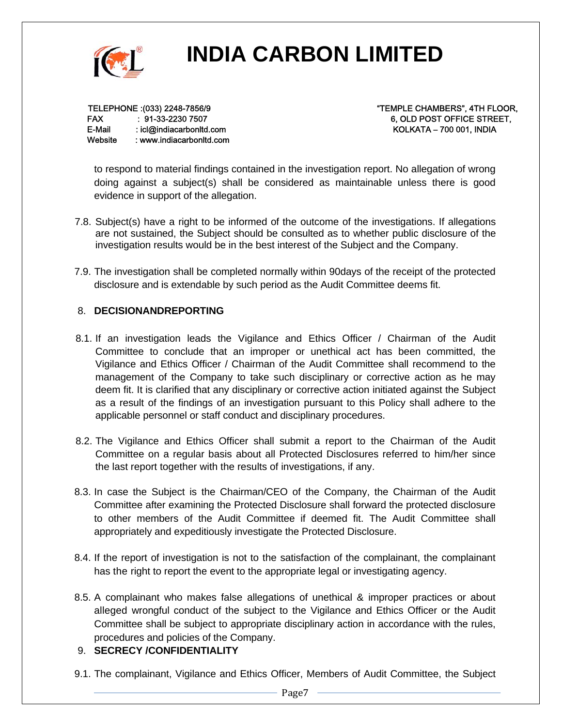

TELEPHONE :(033) 2248-7856/9 FAX : 91-33-2230 7507 E-Mail : icl@indiacarbonltd.com Website : www.indiacarbonltd.com "TEMPLE CHAMBERS", 4TH FLOOR, 6, OLD POST OFFICE STREET, KOLKATA – 700 001, INDIA

to respond to material findings contained in the investigation report. No allegation of wrong doing against a subject(s) shall be considered as maintainable unless there is good evidence in support of the allegation.

- 7.8. Subject(s) have a right to be informed of the outcome of the investigations. If allegations are not sustained, the Subject should be consulted as to whether public disclosure of the investigation results would be in the best interest of the Subject and the Company.
- 7.9. The investigation shall be completed normally within 90days of the receipt of the protected disclosure and is extendable by such period as the Audit Committee deems fit.

### 8. **DECISIONANDREPORTING**

- 8.1. If an investigation leads the Vigilance and Ethics Officer / Chairman of the Audit Committee to conclude that an improper or unethical act has been committed, the Vigilance and Ethics Officer / Chairman of the Audit Committee shall recommend to the management of the Company to take such disciplinary or corrective action as he may deem fit. It is clarified that any disciplinary or corrective action initiated against the Subject as a result of the findings of an investigation pursuant to this Policy shall adhere to the applicable personnel or staff conduct and disciplinary procedures.
- 8.2. The Vigilance and Ethics Officer shall submit a report to the Chairman of the Audit Committee on a regular basis about all Protected Disclosures referred to him/her since the last report together with the results of investigations, if any.
- 8.3. In case the Subject is the Chairman/CEO of the Company, the Chairman of the Audit Committee after examining the Protected Disclosure shall forward the protected disclosure to other members of the Audit Committee if deemed fit. The Audit Committee shall appropriately and expeditiously investigate the Protected Disclosure.
- 8.4. If the report of investigation is not to the satisfaction of the complainant, the complainant has the right to report the event to the appropriate legal or investigating agency.
- 8.5. A complainant who makes false allegations of unethical & improper practices or about alleged wrongful conduct of the subject to the Vigilance and Ethics Officer or the Audit Committee shall be subject to appropriate disciplinary action in accordance with the rules, procedures and policies of the Company.

### 9. **SECRECY /CONFIDENTIALITY**

9.1. The complainant, Vigilance and Ethics Officer, Members of Audit Committee, the Subject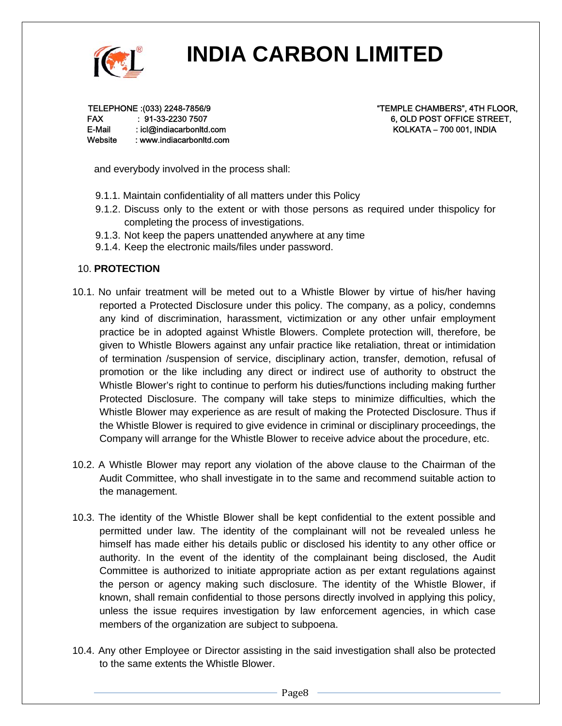

TELEPHONE :(033) 2248-7856/9 FAX : 91-33-2230 7507 E-Mail : icl@indiacarbonltd.com Website : www.indiacarbonltd.com "TEMPLE CHAMBERS", 4TH FLOOR, 6, OLD POST OFFICE STREET, KOLKATA – 700 001, INDIA

and everybody involved in the process shall:

- 9.1.1. Maintain confidentiality of all matters under this Policy
- 9.1.2. Discuss only to the extent or with those persons as required under thispolicy for completing the process of investigations.
- 9.1.3. Not keep the papers unattended anywhere at any time
- 9.1.4. Keep the electronic mails/files under password.

### 10. **PROTECTION**

- 10.1. No unfair treatment will be meted out to a Whistle Blower by virtue of his/her having reported a Protected Disclosure under this policy. The company, as a policy, condemns any kind of discrimination, harassment, victimization or any other unfair employment practice be in adopted against Whistle Blowers. Complete protection will, therefore, be given to Whistle Blowers against any unfair practice like retaliation, threat or intimidation of termination /suspension of service, disciplinary action, transfer, demotion, refusal of promotion or the like including any direct or indirect use of authority to obstruct the Whistle Blower's right to continue to perform his duties/functions including making further Protected Disclosure. The company will take steps to minimize difficulties, which the Whistle Blower may experience as are result of making the Protected Disclosure. Thus if the Whistle Blower is required to give evidence in criminal or disciplinary proceedings, the Company will arrange for the Whistle Blower to receive advice about the procedure, etc.
- 10.2. A Whistle Blower may report any violation of the above clause to the Chairman of the Audit Committee, who shall investigate in to the same and recommend suitable action to the management.
- 10.3. The identity of the Whistle Blower shall be kept confidential to the extent possible and permitted under law. The identity of the complainant will not be revealed unless he himself has made either his details public or disclosed his identity to any other office or authority. In the event of the identity of the complainant being disclosed, the Audit Committee is authorized to initiate appropriate action as per extant regulations against the person or agency making such disclosure. The identity of the Whistle Blower, if known, shall remain confidential to those persons directly involved in applying this policy, unless the issue requires investigation by law enforcement agencies, in which case members of the organization are subject to subpoena.
- 10.4. Any other Employee or Director assisting in the said investigation shall also be protected to the same extents the Whistle Blower.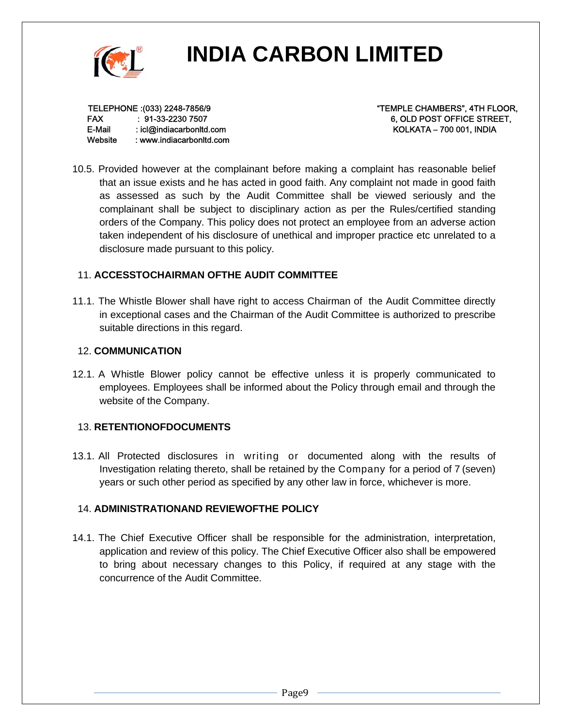

TELEPHONE :(033) 2248-7856/9 FAX : 91-33-2230 7507 E-Mail : icl@indiacarbonltd.com Website : www.indiacarbonltd.com "TEMPLE CHAMBERS", 4TH FLOOR, 6, OLD POST OFFICE STREET, KOLKATA – 700 001, INDIA

10.5. Provided however at the complainant before making a complaint has reasonable belief that an issue exists and he has acted in good faith. Any complaint not made in good faith as assessed as such by the Audit Committee shall be viewed seriously and the complainant shall be subject to disciplinary action as per the Rules/certified standing orders of the Company. This policy does not protect an employee from an adverse action taken independent of his disclosure of unethical and improper practice etc unrelated to a disclosure made pursuant to this policy.

### 11. **ACCESSTOCHAIRMAN OFTHE AUDIT COMMITTEE**

11.1. The Whistle Blower shall have right to access Chairman of the Audit Committee directly in exceptional cases and the Chairman of the Audit Committee is authorized to prescribe suitable directions in this regard.

### 12. **COMMUNICATION**

12.1. A Whistle Blower policy cannot be effective unless it is properly communicated to employees. Employees shall be informed about the Policy through email and through the website of the Company.

### 13. **RETENTIONOFDOCUMENTS**

13.1. All Protected disclosures in writing or documented along with the results of Investigation relating thereto, shall be retained by the Company for a period of 7 (seven) years or such other period as specified by any other law in force, whichever is more.

### 14. **ADMINISTRATIONAND REVIEWOFTHE POLICY**

14.1. The Chief Executive Officer shall be responsible for the administration, interpretation, application and review of this policy. The Chief Executive Officer also shall be empowered to bring about necessary changes to this Policy, if required at any stage with the concurrence of the Audit Committee.